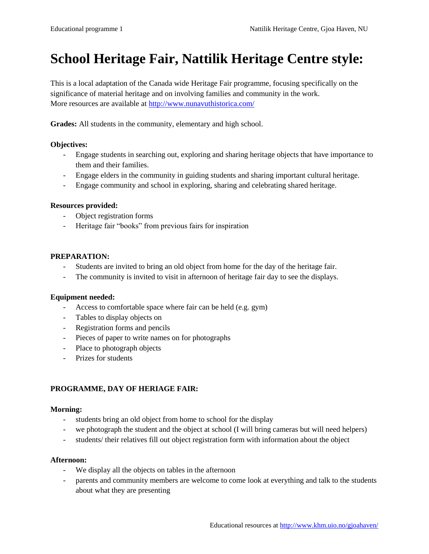# **School Heritage Fair, Nattilik Heritage Centre style:**

This is a local adaptation of the Canada wide Heritage Fair programme, focusing specifically on the significance of material heritage and on involving families and community in the work. More resources are available at<http://www.nunavuthistorica.com/>

**Grades:** All students in the community, elementary and high school.

# **Objectives:**

- Engage students in searching out, exploring and sharing heritage objects that have importance to them and their families.
- Engage elders in the community in guiding students and sharing important cultural heritage.
- Engage community and school in exploring, sharing and celebrating shared heritage.

## **Resources provided:**

- Object registration forms
- Heritage fair "books" from previous fairs for inspiration

## **PREPARATION:**

- Students are invited to bring an old object from home for the day of the heritage fair.
- The community is invited to visit in afternoon of heritage fair day to see the displays.

#### **Equipment needed:**

- Access to comfortable space where fair can be held (e.g. gym)
- Tables to display objects on
- Registration forms and pencils
- Pieces of paper to write names on for photographs
- Place to photograph objects
- Prizes for students

# **PROGRAMME, DAY OF HERIAGE FAIR:**

#### **Morning:**

- students bring an old object from home to school for the display
- we photograph the student and the object at school (I will bring cameras but will need helpers)
- students/ their relatives fill out object registration form with information about the object

#### **Afternoon:**

- We display all the objects on tables in the afternoon
- parents and community members are welcome to come look at everything and talk to the students about what they are presenting